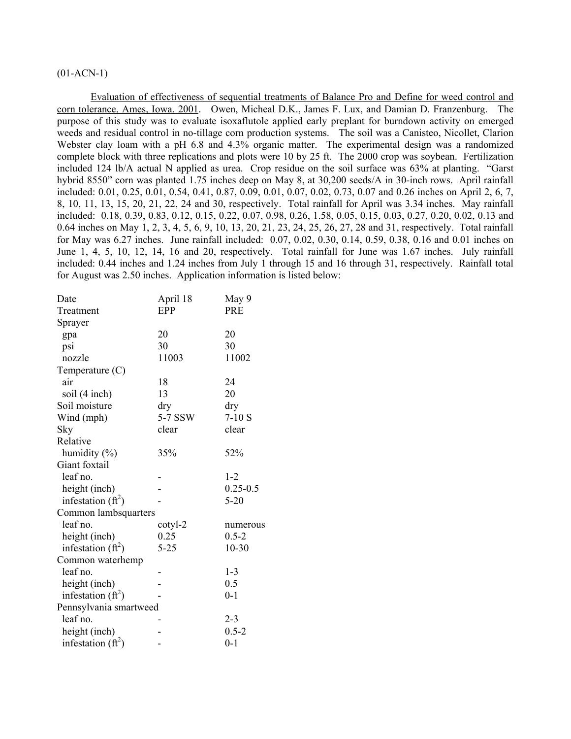# $(01-ACN-1)$

Evaluation of effectiveness of sequential treatments of Balance Pro and Define for weed control and corn tolerance, Ames, Iowa, 2001. Owen, Micheal D.K., James F. Lux, and Damian D. Franzenburg. The purpose of this study was to evaluate isoxaflutole applied early preplant for burndown activity on emerged weeds and residual control in no-tillage corn production systems. The soil was a Canisteo, Nicollet, Clarion Webster clay loam with a pH 6.8 and 4.3% organic matter. The experimental design was a randomized complete block with three replications and plots were 10 by 25 ft. The 2000 crop was soybean. Fertilization included 124 lb/A actual N applied as urea. Crop residue on the soil surface was 63% at planting. "Garst hybrid 8550" corn was planted 1.75 inches deep on May 8, at 30,200 seeds/A in 30-inch rows. April rainfall included: 0.01, 0.25, 0.01, 0.54, 0.41, 0.87, 0.09, 0.01, 0.07, 0.02, 0.73, 0.07 and 0.26 inches on April 2, 6, 7, 8, 10, 11, 13, 15, 20, 21, 22, 24 and 30, respectively. Total rainfall for April was 3.34 inches. May rainfall included: 0.18, 0.39, 0.83, 0.12, 0.15, 0.22, 0.07, 0.98, 0.26, 1.58, 0.05, 0.15, 0.03, 0.27, 0.20, 0.02, 0.13 and 0.64 inches on May 1, 2, 3, 4, 5, 6, 9, 10, 13, 20, 21, 23, 24, 25, 26, 27, 28 and 31, respectively. Total rainfall for May was 6.27 inches. June rainfall included: 0.07, 0.02, 0.30, 0.14, 0.59, 0.38, 0.16 and 0.01 inches on June 1, 4, 5, 10, 12, 14, 16 and 20, respectively. Total rainfall for June was 1.67 inches. July rainfall included: 0.44 inches and 1.24 inches from July 1 through 15 and 16 through 31, respectively. Rainfall total for August was 2.50 inches. Application information is listed below:

| Date                   | April 18 | May 9        |
|------------------------|----------|--------------|
| Treatment              | EPP      | <b>PRE</b>   |
| Sprayer                |          |              |
| gpa                    | 20       | 20           |
| psi                    | 30       | 30           |
| nozzle                 | 11003    | 11002        |
| Temperature $(C)$      |          |              |
| air                    | 18       | 24           |
| soil (4 inch)          | 13       | 20           |
| Soil moisture          | dry      | dry          |
| Wind (mph)             | 5-7 SSW  | $7-10S$      |
| Sky                    | clear    | clear        |
| Relative               |          |              |
| humidity (%)           | 35%      | 52%          |
| Giant foxtail          |          |              |
| leaf no.               |          | $1 - 2$      |
| height (inch)          |          | $0.25 - 0.5$ |
| infestation $(ft^2)$   |          | $5 - 20$     |
| Common lambsquarters   |          |              |
| leaf no.               | cotyl-2  | numerous     |
| height (inch)          | 0.25     | $0.5 - 2$    |
| infestation $(ft^2)$   | $5 - 25$ | $10 - 30$    |
| Common waterhemp       |          |              |
| leaf no.               |          | $1 - 3$      |
| height (inch)          |          | 0.5          |
| infestation $(ft^2)$   |          | $0 - 1$      |
| Pennsylvania smartweed |          |              |
| leaf no.               |          | $2 - 3$      |
| height (inch)          |          | $0.5 - 2$    |
| infestation $(ft^2)$   |          | $0 - 1$      |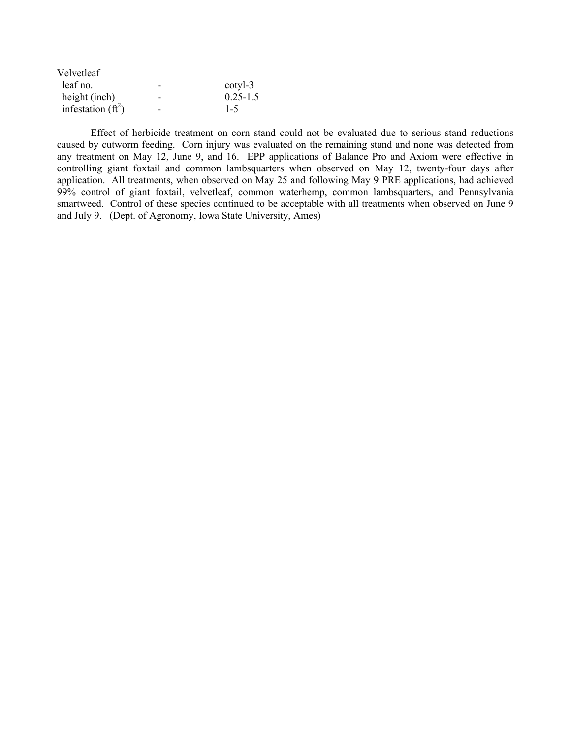| Velvetleaf           |   |              |
|----------------------|---|--------------|
| leaf no.             | - | cotyl-3      |
| height (inch)        | - | $0.25 - 1.5$ |
| infestation $(ft^2)$ | - | $1 - 5$      |

 Effect of herbicide treatment on corn stand could not be evaluated due to serious stand reductions caused by cutworm feeding. Corn injury was evaluated on the remaining stand and none was detected from any treatment on May 12, June 9, and 16. EPP applications of Balance Pro and Axiom were effective in controlling giant foxtail and common lambsquarters when observed on May 12, twenty-four days after application. All treatments, when observed on May 25 and following May 9 PRE applications, had achieved 99% control of giant foxtail, velvetleaf, common waterhemp, common lambsquarters, and Pennsylvania smartweed. Control of these species continued to be acceptable with all treatments when observed on June 9 and July 9. (Dept. of Agronomy, Iowa State University, Ames)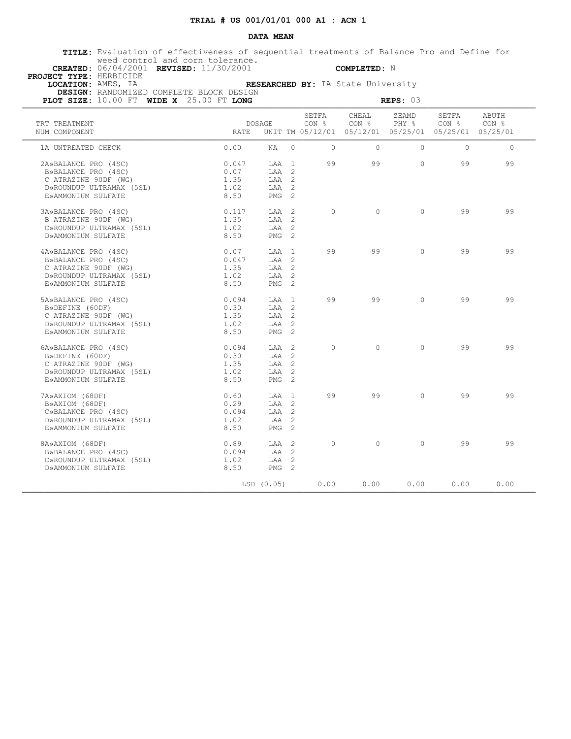### **DATA MEAN**

 **TITLE:** Evaluation of effectiveness of sequential treatments of Balance Pro and Define for weed control and corn tolerance.

 **CREATED:** 06/04/2001 **REVISED:** 11/30/2001 **COMPLETED:** N  **PROJECT TYPE:** HERBICIDE

 **LOCATION:** AMES, IA **RESEARCHED BY:** IA State University  **DESIGN:** RANDOMIZED COMPLETE BLOCK DESIGN

| PLOT SIZE: 10.00 FT WIDE X 25.00 FT LONG |       | REPS: $03$       |          |                |                |                                                                        |                           |                |  |  |
|------------------------------------------|-------|------------------|----------|----------------|----------------|------------------------------------------------------------------------|---------------------------|----------------|--|--|
| TRT TREATMENT<br>NUM COMPONENT           | RATE  | DOSAGE           |          | SETFA<br>CON % | CHEAL<br>CON % | ZEAMD<br>PHY %<br>UNIT TM 05/12/01 05/12/01 05/25/01 05/25/01 05/25/01 | SETFA<br>CON <sub>8</sub> | ABUTH<br>CON % |  |  |
| 1A UNTREATED CHECK                       | 0.00  | NA 1             | $\Omega$ | $\Omega$       | $\Omega$       | $\Omega$                                                               | $\Omega$                  | $\Omega$       |  |  |
| 2A»BALANCE PRO (4SC)                     | 0.047 | LAA 1            |          | 99             | 99             | $\Omega$                                                               | 99                        | 99             |  |  |
| B»BALANCE PRO (4SC)                      | 0.07  | LAA 2            |          |                |                |                                                                        |                           |                |  |  |
| C ATRAZINE 90DF (WG)                     | 1.35  | LAA 2            |          |                |                |                                                                        |                           |                |  |  |
| D»ROUNDUP ULTRAMAX (5SL)                 | 1.02  | LAA 2            |          |                |                |                                                                        |                           |                |  |  |
| E»AMMONIUM SULFATE                       | 8.50  | PMG <sub>2</sub> |          |                |                |                                                                        |                           |                |  |  |
| 3A»BALANCE PRO (4SC)                     | 0.117 | LAA 2            |          | $\Omega$       | $\cap$         | $\cap$                                                                 | 99                        | 99             |  |  |
| B ATRAZINE 90DF (WG)                     | 1.35  | LAA 2            |          |                |                |                                                                        |                           |                |  |  |
| C»ROUNDUP ULTRAMAX (5SL)                 | 1.02  | LAA 2            |          |                |                |                                                                        |                           |                |  |  |
| D»AMMONIUM SULFATE                       | 8.50  | PMG <sub>2</sub> |          |                |                |                                                                        |                           |                |  |  |
| 4A»BALANCE PRO (4SC)                     | 0.07  | LAA 1            |          | 99             | 99             | $\circ$                                                                | 99                        | 99             |  |  |
| B»BALANCE PRO (4SC)                      | 0.047 | LAA 2            |          |                |                |                                                                        |                           |                |  |  |
| C ATRAZINE 90DF (WG)                     | 1.35  | LAA 2            |          |                |                |                                                                        |                           |                |  |  |
| D»ROUNDUP ULTRAMAX (5SL)                 | 1.02  | LAA 2            |          |                |                |                                                                        |                           |                |  |  |
| E»AMMONIUM SULFATE                       | 8.50  | PMG <sub>2</sub> |          |                |                |                                                                        |                           |                |  |  |
| 5A»BALANCE PRO (4SC)                     | 0.094 | LAA 1            |          | 99             | 99             | $\Omega$                                                               | 99                        | 99             |  |  |
| B»DEFINE (60DF)                          | 0.30  | $TAA$ 2          |          |                |                |                                                                        |                           |                |  |  |
| C ATRAZINE 90DF (WG)                     | 1.35  | LAA 2            |          |                |                |                                                                        |                           |                |  |  |
| D»ROUNDUP ULTRAMAX (5SL)                 | 1.02  | LAA 2            |          |                |                |                                                                        |                           |                |  |  |
| E»AMMONIUM SULFATE                       | 8.50  | PMG <sub>2</sub> |          |                |                |                                                                        |                           |                |  |  |
| 6A»BALANCE PRO (4SC)                     | 0.094 | LAA 2            |          | $\Omega$       | $\Omega$       | $\Omega$                                                               | 99                        | 99             |  |  |
| B»DEFINE (60DF)                          | 0.30  | LAA 2            |          |                |                |                                                                        |                           |                |  |  |
| C ATRAZINE 90DF (WG)                     | 1.35  | $TAA$ 2          |          |                |                |                                                                        |                           |                |  |  |
| D»ROUNDUP ULTRAMAX (5SL)                 | 1.02  | LAA 2            |          |                |                |                                                                        |                           |                |  |  |
| E»AMMONIUM SULFATE                       | 8.50  | PMG <sub>2</sub> |          |                |                |                                                                        |                           |                |  |  |
| 7A»AXIOM (68DF)                          | 0.60  | LAA 1            |          | 99             | 99             | $\Omega$                                                               | 99                        | 99             |  |  |
| B»AXIOM (68DF)                           | 0.29  | LAA 2            |          |                |                |                                                                        |                           |                |  |  |
| C»BALANCE PRO (4SC)                      | 0.094 | $TAA$ 2          |          |                |                |                                                                        |                           |                |  |  |
| D»ROUNDUP ULTRAMAX (5SL)                 | 1.02  | LAA 2            |          |                |                |                                                                        |                           |                |  |  |
| E»AMMONIUM SULFATE                       | 8.50  | PMG 2            |          |                |                |                                                                        |                           |                |  |  |
| 8A»AXIOM (68DF)                          | 0.89  | LAA 2            |          | $\Omega$       | $\Omega$       | $\Omega$                                                               | 99                        | 99             |  |  |
| B»BALANCE PRO (4SC)                      | 0.094 | LAA 2            |          |                |                |                                                                        |                           |                |  |  |
| C»ROUNDUP ULTRAMAX (5SL)                 | 1.02  | LAA 2            |          |                |                |                                                                        |                           |                |  |  |
| D»AMMONIUM SULFATE                       | 8.50  | $PMG$ 2          |          |                |                |                                                                        |                           |                |  |  |
|                                          |       | $LSD$ $(0.05)$   |          | 0.00           | 0.00           | 0.00                                                                   | 0.00                      | 0.00           |  |  |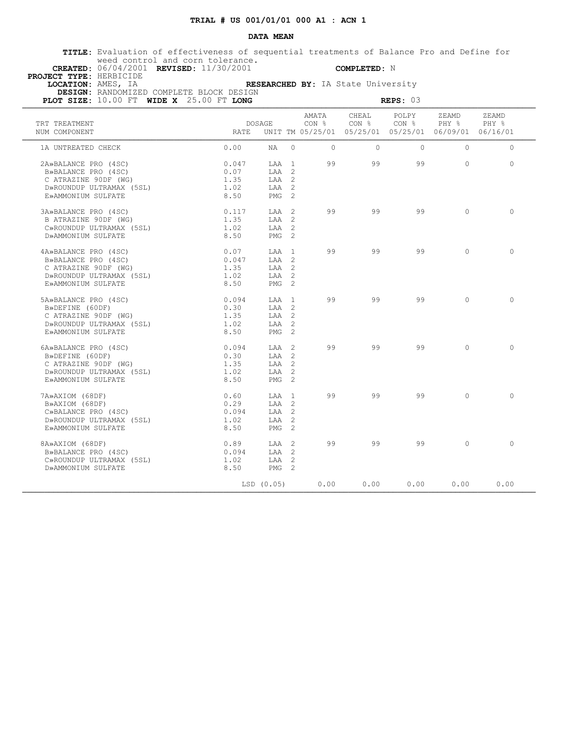### **DATA MEAN**

 **TITLE:** Evaluation of effectiveness of sequential treatments of Balance Pro and Define for weed control and corn tolerance.

 **CREATED:** 06/04/2001 **REVISED:** 11/30/2001 **COMPLETED:** N  **PROJECT TYPE:** HERBICIDE

 **LOCATION:** AMES, IA **RESEARCHED BY:** IA State University  **DESIGN:** RANDOMIZED COMPLETE BLOCK DESIGN

| PLOT SIZE: 10.00 FT WIDE X 25.00 FT LONG |       | REPS: $03$       |          |                |                |                                                                                   |                |                |  |
|------------------------------------------|-------|------------------|----------|----------------|----------------|-----------------------------------------------------------------------------------|----------------|----------------|--|
| TRT TREATMENT<br>NUM COMPONENT           | RATE  | DOSAGE           |          | AMATA<br>CON % | CHEAL<br>CON % | POLPY<br>CON <sub>8</sub><br>UNIT TM 05/25/01 05/25/01 05/25/01 06/09/01 06/16/01 | ZEAMD<br>PHY % | ZEAMD<br>PHY % |  |
| 1A UNTREATED CHECK                       | 0.00  | NA 1             | $\Omega$ | $\Omega$       | $\Omega$       | $\Omega$                                                                          | $\Omega$       | $\Omega$       |  |
| 2A»BALANCE PRO (4SC)                     | 0.047 | LAA 1            |          | 99             | 99             | 99                                                                                | $\Omega$       | $\Omega$       |  |
| B»BALANCE PRO (4SC)                      | 0.07  | LAA 2            |          |                |                |                                                                                   |                |                |  |
| C ATRAZINE 90DF (WG)                     | 1.35  | LAA 2            |          |                |                |                                                                                   |                |                |  |
| D»ROUNDUP ULTRAMAX (5SL)                 | 1.02  | LAA 2            |          |                |                |                                                                                   |                |                |  |
| E»AMMONIUM SULFATE                       | 8.50  | PMG <sub>2</sub> |          |                |                |                                                                                   |                |                |  |
| 3A»BALANCE PRO (4SC)                     | 0.117 | LAA 2            |          | 99             | 99             | 99                                                                                | $\cap$         | $\Omega$       |  |
| B ATRAZINE 90DF (WG)                     | 1.35  | LAA 2            |          |                |                |                                                                                   |                |                |  |
| C»ROUNDUP ULTRAMAX (5SL)                 | 1.02  | LAA 2            |          |                |                |                                                                                   |                |                |  |
| D»AMMONIUM SULFATE                       | 8.50  | PMG <sub>2</sub> |          |                |                |                                                                                   |                |                |  |
| 4A»BALANCE PRO (4SC)                     | 0.07  | LAA 1            |          | 99             | 99             | 99                                                                                | $\Omega$       | $\Omega$       |  |
| B»BALANCE PRO (4SC)                      | 0.047 | LAA 2            |          |                |                |                                                                                   |                |                |  |
| C ATRAZINE 90DF (WG)                     | 1.35  | LAA 2            |          |                |                |                                                                                   |                |                |  |
| D»ROUNDUP ULTRAMAX (5SL)                 | 1.02  | LAA 2            |          |                |                |                                                                                   |                |                |  |
| E»AMMONIUM SULFATE                       | 8.50  | PMG <sub>2</sub> |          |                |                |                                                                                   |                |                |  |
| 5A»BALANCE PRO (4SC)                     | 0.094 | LAA 1            |          | 99             | 99             | 99                                                                                | $\Omega$       | $\Omega$       |  |
| B»DEFINE (60DF)                          | 0.30  | $TAA$ 2          |          |                |                |                                                                                   |                |                |  |
| C ATRAZINE 90DF (WG)                     | 1.35  | LAA 2            |          |                |                |                                                                                   |                |                |  |
| D»ROUNDUP ULTRAMAX (5SL)                 | 1.02  | LAA 2            |          |                |                |                                                                                   |                |                |  |
| E»AMMONIUM SULFATE                       | 8.50  | PMG <sub>2</sub> |          |                |                |                                                                                   |                |                |  |
| 6A»BALANCE PRO (4SC)                     | 0.094 | LAA 2            |          | 99             | 99             | 99                                                                                | $\Omega$       | $\Omega$       |  |
| B»DEFINE (60DF)                          | 0.30  | LAA 2            |          |                |                |                                                                                   |                |                |  |
| C ATRAZINE 90DF (WG)                     | 1.35  | $TAA$ 2          |          |                |                |                                                                                   |                |                |  |
| D»ROUNDUP ULTRAMAX (5SL)                 | 1.02  | LAA 2            |          |                |                |                                                                                   |                |                |  |
| E»AMMONIUM SULFATE                       | 8.50  | PMG <sub>2</sub> |          |                |                |                                                                                   |                |                |  |
| 7A»AXIOM (68DF)                          | 0.60  | LAA 1            |          | 99             | 99             | 99                                                                                | $\Omega$       | $\Omega$       |  |
| B»AXIOM (68DF)                           | 0.29  | LAA 2            |          |                |                |                                                                                   |                |                |  |
| C»BALANCE PRO (4SC)                      | 0.094 | $TAA$ 2          |          |                |                |                                                                                   |                |                |  |
| D»ROUNDUP ULTRAMAX (5SL)                 | 1.02  | LAA 2            |          |                |                |                                                                                   |                |                |  |
| E»AMMONIUM SULFATE                       | 8.50  | PMG <sub>2</sub> |          |                |                |                                                                                   |                |                |  |
| 8A»AXIOM (68DF)                          | 0.89  | LAA 2            |          | 99             | 99             | 99                                                                                | $\Omega$       | $\Omega$       |  |
| B»BALANCE PRO (4SC)                      | 0.094 | LAA 2            |          |                |                |                                                                                   |                |                |  |
| C»ROUNDUP ULTRAMAX (5SL)                 | 1.02  | LAA 2            |          |                |                |                                                                                   |                |                |  |
| D»AMMONIUM SULFATE                       | 8.50  | $PMG$ 2          |          |                |                |                                                                                   |                |                |  |
|                                          |       | LSD(0.05)        |          | 0.00           | 0.00           | 0.00                                                                              | 0.00           | 0.00           |  |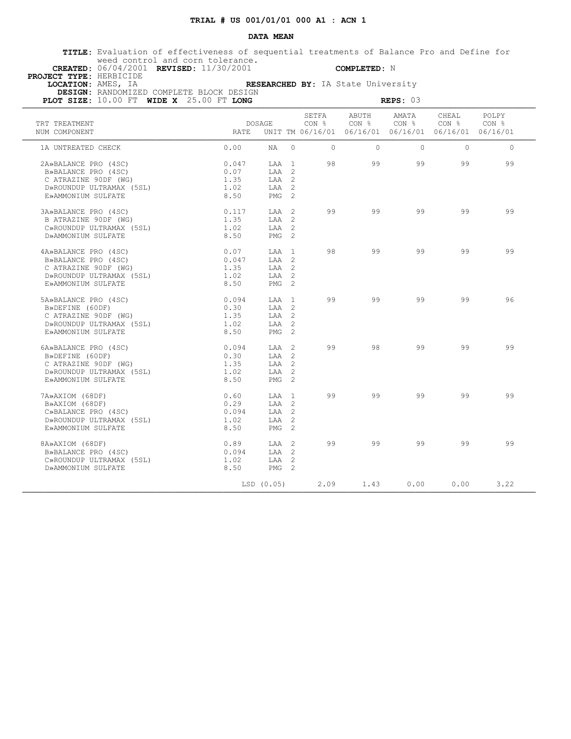### **DATA MEAN**

 **TITLE:** Evaluation of effectiveness of sequential treatments of Balance Pro and Define for weed control and corn tolerance.

 **CREATED:** 06/04/2001 **REVISED:** 11/30/2001 **COMPLETED:** N  **PROJECT TYPE:** HERBICIDE

 **LOCATION:** AMES, IA **RESEARCHED BY:** IA State University  **DESIGN:** RANDOMIZED COMPLETE BLOCK DESIGN

| PLOT SIZE: 10.00 FT WIDE X 25.00 FT LONG |       | REPS: $03$       |          |                           |                           |                                                                                   |                           |                |  |
|------------------------------------------|-------|------------------|----------|---------------------------|---------------------------|-----------------------------------------------------------------------------------|---------------------------|----------------|--|
| TRT TREATMENT<br>NUM COMPONENT           | RATE  | DOSAGE           |          | SETFA<br>CON <sub>8</sub> | ABUTH<br>CON <sub>8</sub> | AMATA<br>CON <sub>8</sub><br>UNIT TM 06/16/01 06/16/01 06/16/01 06/16/01 06/16/01 | CHEAL<br>CON <sub>8</sub> | POLPY<br>CON % |  |
| 1A UNTREATED CHECK                       | 0.00  | NA 1             | $\Omega$ | $\Omega$                  | $\Omega$                  | $\Omega$                                                                          | $\Omega$                  | $\Omega$       |  |
| 2A»BALANCE PRO (4SC)                     | 0.047 | LAA 1            |          | 98                        | 99                        | 99                                                                                | 99                        | 99             |  |
| B»BALANCE PRO (4SC)                      | 0.07  | LAA 2            |          |                           |                           |                                                                                   |                           |                |  |
| C ATRAZINE 90DF (WG)                     | 1.35  | LAA 2            |          |                           |                           |                                                                                   |                           |                |  |
| D»ROUNDUP ULTRAMAX (5SL)                 | 1.02  | LAA 2            |          |                           |                           |                                                                                   |                           |                |  |
| E»AMMONIUM SULFATE                       | 8.50  | PMG <sub>2</sub> |          |                           |                           |                                                                                   |                           |                |  |
| 3A»BALANCE PRO (4SC)                     | 0.117 | LAA 2            |          | 99                        | 99                        | 99                                                                                | 99                        | 99             |  |
| B ATRAZINE 90DF (WG)                     | 1.35  | LAA 2            |          |                           |                           |                                                                                   |                           |                |  |
| C»ROUNDUP ULTRAMAX (5SL)                 | 1.02  | LAA 2            |          |                           |                           |                                                                                   |                           |                |  |
| D»AMMONIUM SULFATE                       | 8.50  | PMG <sub>2</sub> |          |                           |                           |                                                                                   |                           |                |  |
| 4A»BALANCE PRO (4SC)                     | 0.07  | LAA 1            |          | 98                        | 99                        | 99                                                                                | 99                        | 99             |  |
| B»BALANCE PRO (4SC)                      | 0.047 | LAA 2            |          |                           |                           |                                                                                   |                           |                |  |
| C ATRAZINE 90DF (WG)                     | 1.35  | LAA 2            |          |                           |                           |                                                                                   |                           |                |  |
| D»ROUNDUP ULTRAMAX (5SL)                 | 1.02  | LAA 2            |          |                           |                           |                                                                                   |                           |                |  |
| E»AMMONIUM SULFATE                       | 8.50  | PMG <sub>2</sub> |          |                           |                           |                                                                                   |                           |                |  |
| 5A»BALANCE PRO (4SC)                     | 0.094 | LAA 1            |          | 99                        | 99                        | 99                                                                                | 99                        | 96             |  |
| B»DEFINE (60DF)                          | 0.30  | $TAA$ 2          |          |                           |                           |                                                                                   |                           |                |  |
| C ATRAZINE 90DF (WG)                     | 1.35  | LAA 2            |          |                           |                           |                                                                                   |                           |                |  |
| D»ROUNDUP ULTRAMAX (5SL)                 | 1.02  | LAA 2            |          |                           |                           |                                                                                   |                           |                |  |
| E»AMMONIUM SULFATE                       | 8.50  | PMG <sub>2</sub> |          |                           |                           |                                                                                   |                           |                |  |
| 6A»BALANCE PRO (4SC)                     | 0.094 | LAA 2            |          | 99                        | 98                        | 99                                                                                | 99                        | 99             |  |
| B»DEFINE (60DF)                          | 0.30  | LAA 2            |          |                           |                           |                                                                                   |                           |                |  |
| C ATRAZINE 90DF (WG)                     | 1.35  | $TAA$ 2          |          |                           |                           |                                                                                   |                           |                |  |
| D»ROUNDUP ULTRAMAX (5SL)                 | 1.02  | LAA 2            |          |                           |                           |                                                                                   |                           |                |  |
| E»AMMONIUM SULFATE                       | 8.50  | PMG <sub>2</sub> |          |                           |                           |                                                                                   |                           |                |  |
| 7A»AXIOM (68DF)                          | 0.60  | LAA 1            |          | 99                        | 99                        | 99                                                                                | 99                        | 99             |  |
| B»AXIOM (68DF)                           | 0.29  | LAA 2            |          |                           |                           |                                                                                   |                           |                |  |
| C»BALANCE PRO (4SC)                      | 0.094 | $TAA$ 2          |          |                           |                           |                                                                                   |                           |                |  |
| D»ROUNDUP ULTRAMAX (5SL)                 | 1.02  | LAA 2            |          |                           |                           |                                                                                   |                           |                |  |
| E»AMMONIUM SULFATE                       | 8.50  | PMG <sub>2</sub> |          |                           |                           |                                                                                   |                           |                |  |
| 8A»AXIOM (68DF)                          | 0.89  | LAA 2            |          | 99                        | 99                        | 99                                                                                | 99                        | 99             |  |
| B»BALANCE PRO (4SC)                      | 0.094 | LAA 2            |          |                           |                           |                                                                                   |                           |                |  |
| C»ROUNDUP ULTRAMAX (5SL)                 | 1.02  | LAA 2            |          |                           |                           |                                                                                   |                           |                |  |
| D»AMMONIUM SULFATE                       | 8.50  | $PMG$ 2          |          |                           |                           |                                                                                   |                           |                |  |
|                                          |       | LSD(0.05)        |          | 2.09                      | 1.43                      | 0.00                                                                              | 0.00                      | 3.22           |  |